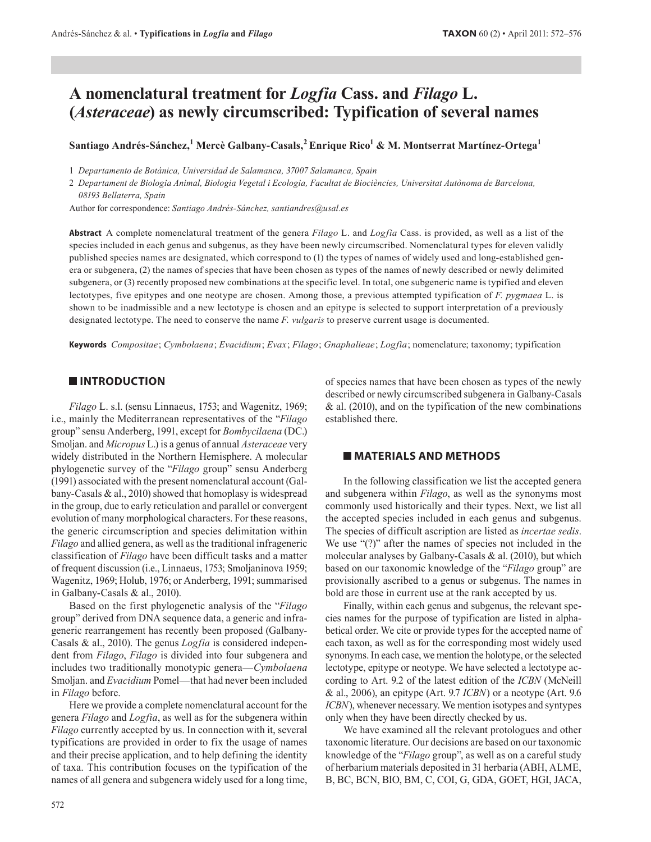# A nomenclatural treatment for Logfia Cass. and Filago L. (*Asteraceae*) as newly circumscribed: Typification of several names

Santiago Andrés-Sánchez,<sup>1</sup> Mercè Galbany-Casals,<sup>2</sup> Enrique Rico<sup>1</sup> & M. Montserrat Martínez-Ortega<sup>1</sup>

1 Departamento de Botánica, Universidad de Salamanca, 37007 Salamanca, Spain

2 Departament de Biologia Animal, Biologia Vegetal i Ecologia, Facultat de Biociències, Universitat Autònoma de Barcelona, 08193 Bellaterra, Spain

Author for correspondence: Santiago Andrés-Sánchez, santiandres@usal.es

Abstract A complete nomenclatural treatment of the genera Filago L. and Logfia Cass. is provided, as well as a list of the species included in each genus and subgenus, as they have been newly circumscribed. Nomenclatural types for eleven validly published species names are designated, which correspond to (1) the types of names of widely used and long-established genera or subgenera, (2) the names of species that have been chosen as types of the names of newly described or newly delimited subgenera, or (3) recently proposed new combinations at the specific level. In total, one subgeneric name is typified and eleven lectotypes, five epitypes and one neotype are chosen. Among those, a previous attempted typification of F. pygmaea L. is shown to be inadmissible and a new lectotype is chosen and an epitype is selected to support interpretation of a previously designated lectotype. The need to conserve the name  $F. *vulgaris*$  to preserve current usage is documented.

Keywords Compositae; Cymbolaena; Evacidium; Evax; Filago; Gnaphalieae; Logfia; nomenclature; taxonomy; typification

### **INTRODUCTION**

Filago L. s.l. (sensu Linnaeus, 1753; and Wagenitz, 1969; i.e., mainly the Mediterranean representatives of the "Filago" group" sensu Anderberg, 1991, except for Bombycilaena (DC.) Smoljan. and Micropus L.) is a genus of annual Asteraceae very widely distributed in the Northern Hemisphere. A molecular phylogenetic survey of the "Filago group" sensu Anderberg (1991) associated with the present nomenclatural account (Galbany-Casals  $\&$  al., 2010) showed that homoplasy is widespread in the group, due to early reticulation and parallel or convergent evolution of many morphological characters. For these reasons, the generic circumscription and species delimitation within Filago and allied genera, as well as the traditional infrageneric classification of Filago have been difficult tasks and a matter of frequent discussion (i.e., Linnaeus, 1753; Smoljaninova 1959; Wagenitz, 1969; Holub, 1976; or Anderberg, 1991; summarised in Galbany-Casals & al., 2010).

Based on the first phylogenetic analysis of the "Filago" group" derived from DNA sequence data, a generic and infrageneric rearrangement has recently been proposed (Galbany-Casals & al., 2010). The genus  $Logfia$  is considered independent from Filago, Filago is divided into four subgenera and includes two traditionally monotypic genera—Cymbolaena Smoljan. and Evacidium Pomel-that had never been included in *Filago* before.

Here we provide a complete nomenclatural account for the genera Filago and Logfia, as well as for the subgenera within Filago currently accepted by us. In connection with it, several typifications are provided in order to fix the usage of names and their precise application, and to help defining the identity of taxa. This contribution focuses on the typification of the names of all genera and subgenera widely used for a long time, of species names that have been chosen as types of the newly described or newly circumscribed subgenera in Galbany-Casals & al.  $(2010)$ , and on the typification of the new combinations established there.

### **MATERIALS AND METHODS**

In the following classification we list the accepted general and subgenera within *Filago*, as well as the synonyms most commonly used historically and their types. Next, we list all the accepted species included in each genus and subgenus. The species of difficult ascription are listed as *incertae sedis*. We use " $(?)$ " after the names of species not included in the molecular analyses by Galbany-Casals & al. (2010), but which based on our taxonomic knowledge of the "Filago group" are provisionally ascribed to a genus or subgenus. The names in bold are those in current use at the rank accepted by us.

Finally, within each genus and subgenus, the relevant species names for the purpose of typification are listed in alphabetical order. We cite or provide types for the accepted name of each taxon, as well as for the corresponding most widely used synonyms. In each case, we mention the holotype, or the selected lectotype, epitype or neotype. We have selected a lectotype according to Art. 9.2 of the latest edition of the ICBN (McNeill & al., 2006), an epitype (Art. 9.7  $ICBN$ ) or a neotype (Art. 9.6 ICBN), whenever necessary. We mention isotypes and syntypes only when they have been directly checked by us.

We have examined all the relevant protologues and other taxonomic literature. Our decisions are based on our taxonomic knowledge of the "Filago group", as well as on a careful study of herbarium materials deposited in 31 herbaria (ABH, ALME, B, BC, BCN, BIO, BM, C, COI, G, GDA, GOET, HGI, JACA,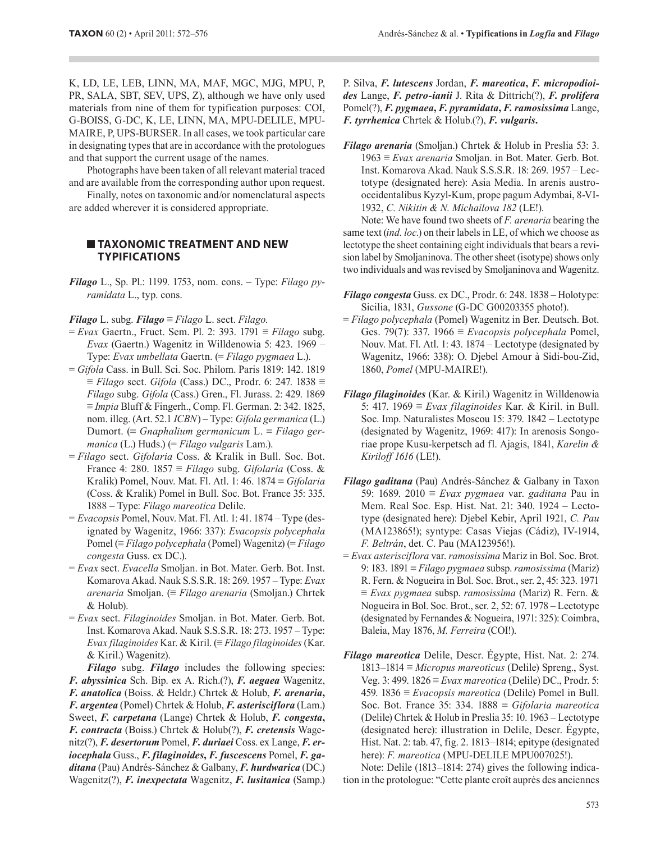K, LD, LE, LEB, LINN, MA, MAF, MGC, MJG, MPU, P, PR, SALA, SBT, SEV, UPS, Z), although we have only used materials from nine of them for typification purposes: COI, G-BOISS, G-DC, K, LE, LINN, MA, MPU-DELILE, MPU-MAIRE, P, UPS-BURSER. In all cases, we took particular care in designating types that are in accordance with the protologues and that support the current usage of the names.

Photographs have been taken of all relevant material traced and are available from the corresponding author upon request.

Finally, notes on taxonomic and/or nomenclatural aspects are added wherever it is considered appropriate.

## **TAXONOMIC TREATMENT AND NEW TYPIFICATIONS**

**Filago** L., Sp. Pl.: 1199. 1753, nom. cons. - Type: Filago pyramidata L., typ. cons.

**Filago** L. subg. **Filago**  $\equiv$  Filago L. sect. Filago.

- $= Evax$  Gaertn., Fruct. Sem. Pl. 2: 393. 1791  $\equiv$  Filago subg. Evax (Gaertn.) Wagenitz in Willdenowia 5: 423. 1969 – Type: Evax umbellata Gaertn. (= Filago pygmaea L.).
- $= Gifola$  Cass. in Bull. Sci. Soc. Philom. Paris 1819: 142. 1819  $\equiv$  Filago sect. Gifola (Cass.) DC., Prodr. 6: 247. 1838  $\equiv$ Filago subg. Gifola (Cass.) Gren., Fl. Jurass. 2: 429. 1869  $\equiv$  *Impia* Bluff & Fingerh., Comp. Fl. German. 2: 342. 1825, nom. illeg. (Art. 52.1 ICBN) – Type: Gifola germanica (L.) Dumort. (= Gnaphalium germanicum L. = Filago germanica (L.) Huds.) (= Filago vulgaris Lam.).
- = Filago sect. Gifolaria Coss. & Kralik in Bull. Soc. Bot. France 4: 280. 1857 = Filago subg. Gifolaria (Coss. & Kralik) Pomel, Nouv. Mat. Fl. Atl. 1: 46.  $1874 \equiv Gifolaria$ (Coss. & Kralik) Pomel in Bull. Soc. Bot. France 35: 335. 1888 – Type: Filago mareotica Delile.
- $= Evacopsis$  Pomel, Nouv. Mat. Fl. Atl. 1: 41. 1874 Type (designated by Wagenitz, 1966: 337): Evacopsis polycephala Pomel ( $\equiv$  Filago polycephala (Pomel) Wagenitz) ( $\equiv$  Filago congesta Guss. ex DC.).
- = Evax sect. Evacella Smoljan. in Bot. Mater. Gerb. Bot. Inst. Komarova Akad. Nauk S.S.S.R. 18: 269. 1957 - Type: Evax arenaria Smoljan. (= Filago arenaria (Smoljan.) Chrtek & Holub).
- = Evax sect. Filaginoides Smoljan. in Bot. Mater. Gerb. Bot. Inst. Komarova Akad. Nauk S.S.S.R. 18: 273. 1957 - Type: Evax filaginoides Kar. & Kiril.  $\equiv$  Filago filaginoides (Kar. & Kiril.) Wagenitz).

**Filago** subg. **Filago** includes the following species: F. abyssinica Sch. Bip. ex A. Rich.(?), F. aegaea Wagenitz, F. anatolica (Boiss. & Heldr.) Chrtek & Holub, F. arenaria, F. argentea (Pomel) Chrtek & Holub, F. asterisciflora (Lam.) Sweet, F. carpetana (Lange) Chrtek & Holub, F. congesta, F. contracta (Boiss.) Chrtek & Holub(?), F. cretensis Wagenitz(?), F. desertorum Pomel, F. duriaei Coss. ex Lange, F. eriocephala Guss., F. filaginoides, F. fuscescens Pomel, F. gaditana (Pau) Andrés-Sánchez & Galbany, F. hurdwarica (DC.) Wagenitz(?), F. inexpectata Wagenitz, F. lusitanica (Samp.)

P. Silva, F. lutescens Jordan, F. mareotica, F. micropodioides Lange, F. petro-ianii J. Rita & Dittrich(?), F. prolifera Pomel(?), F. pygmaea, F. pyramidata, F. ramosissima Lange, F. tyrrhenica Chrtek & Holub.(?), F. vulgaris.

Filago arenaria (Smoljan.) Chrtek & Holub in Preslia 53: 3.  $1963 \equiv Evax$  arenaria Smoljan. in Bot. Mater. Gerb. Bot. Inst. Komarova Akad. Nauk S.S.S.R. 18: 269. 1957 - Lectotype (designated here): Asia Media. In arenis austrooccidentalibus Kyzyl-Kum, prope pagum Adymbai, 8-VI-1932, C. Nikitin & N. Michailova 182 (LE!).

Note: We have found two sheets of F. arenaria bearing the same text *(ind. loc.)* on their labels in LE, of which we choose as lectotype the sheet containing eight individuals that bears a revision label by Smoljaninova. The other sheet (isotype) shows only two individuals and was revised by Smoljaninova and Wagenitz.

- Filago congesta Guss. ex DC., Prodr. 6: 248. 1838 Holotype: Sicilia, 1831, Gussone (G-DC G00203355 photo!).
- $=$  Filago polycephala (Pomel) Wagenitz in Ber. Deutsch. Bot. Ges. 79(7): 337. 1966  $\equiv$  *Evacopsis polycephala* Pomel, Nouv. Mat. Fl. Atl. 1: 43. 1874 – Lectotype (designated by Wagenitz, 1966: 338): O. Djebel Amour à Sidi-bou-Zid, 1860, Pomel (MPU-MAIRE!).
- Filago filaginoides (Kar. & Kiril.) Wagenitz in Willdenowia 5: 417. 1969  $\equiv E \nu \alpha x$  *filaginoides* Kar. & Kiril. in Bull. Soc. Imp. Naturalistes Moscou 15: 379. 1842 – Lectotype (designated by Wagenitz, 1969: 417): In arenosis Songoriae prope Kusu-kerpetsch ad fl. Ajagis, 1841, Karelin & Kiriloff 1616 (LE!).
- Filago gaditana (Pau) Andrés-Sánchez & Galbany in Taxon 59: 1689. 2010  $\equiv$  *Evax pygmaea* var. *gaditana* Pau in Mem. Real Soc. Esp. Hist. Nat. 21: 340. 1924 - Lectotype (designated here): Djebel Kebir, April 1921, C. Pau (MA123865!); syntype: Casas Viejas (Cádiz), IV-1914, F. Beltrán, det. C. Pau (MA123956!).
- $= Evax$  asterisciflora var. ramosissima Mariz in Bol. Soc. Brot. 9: 183. 1891 = Filago pygmaea subsp. ramosissima (Mariz) R. Fern. & Nogueira in Bol. Soc. Brot., ser. 2, 45: 323. 1971  $\equiv Evax$  pygmaea subsp. ramosissima (Mariz) R. Fern. & Nogueira in Bol. Soc. Brot., ser. 2, 52: 67. 1978 – Lectotype (designated by Fernandes & Nogueira, 1971: 325): Coimbra, Baleia, May 1876, M. Ferreira (COI!).
- Filago mareotica Delile, Descr. Égypte, Hist. Nat. 2: 274.  $1813-1814 \equiv *Micropus macroticus*$  (Delile) Spreng., Syst. Veg. 3: 499.  $1826 \equiv Evax$  mareotica (Delile) DC., Prodr. 5: 459. 1836  $\equiv$  *Evacopsis mareotica* (Delile) Pomel in Bull. Soc. Bot. France 35: 334. 1888 = Gifolaria mareotica (Delile) Chrtek & Holub in Preslia 35: 10. 1963 - Lectotype (designated here): illustration in Delile, Descr. Egypte, Hist. Nat. 2: tab. 47, fig. 2. 1813-1814; epitype (designated here): F. mareotica (MPU-DELILE MPU007025!).

Note: Delile (1813–1814: 274) gives the following indication in the protologue: "Cette plante croît auprès des anciennes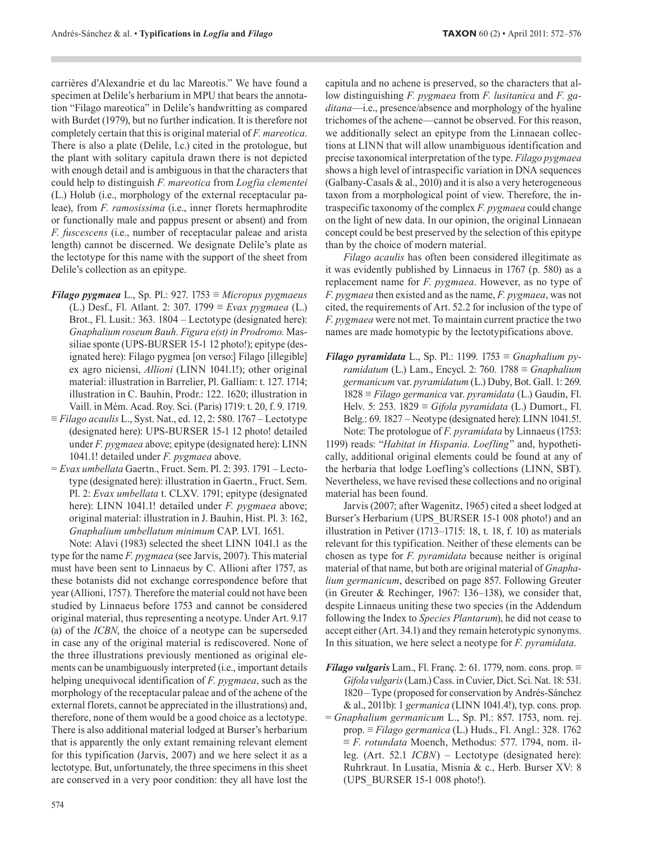carrières d'Alexandrie et du lac Mareotis." We have found a specimen at Delile's herbarium in MPU that bears the annotation "Filago mareotica" in Delile's handwritting as compared with Burdet (1979), but no further indication. It is therefore not completely certain that this is original material of F. mareotica. There is also a plate (Delile, l.c.) cited in the protologue, but the plant with solitary capitula drawn there is not depicted with enough detail and is ambiguous in that the characters that could help to distinguish F. mareotica from Logfia clementei (L.) Holub (i.e., morphology of the external receptacular paleae), from *F. ramosissima* (i.e., inner florets hermaphrodite or functionally male and pappus present or absent) and from *F. fuscescens* (i.e., number of receptacular paleae and arista length) cannot be discerned. We designate Delile's plate as the lectotype for this name with the support of the sheet from Delile's collection as an epitype.

- Filago pygmaea L., Sp. Pl.: 927. 1753 = Micropus pygmaeus (L.) Desf., Fl. Atlant. 2: 307. 1799  $\equiv Evax$  pygmaea (L.) Brot., Fl. Lusit.: 363. 1804 – Lectotype (designated here): Gnaphalium roseum Bauh. Figura e(st) in Prodromo. Massiliae sponte (UPS-BURSER 15-1 12 photo!); epitype (designated here): Filago pygmea [on verso:] Filago [illegible] ex agro niciensi, *Allioni* (LINN 1041.1!); other original material: illustration in Barrelier, Pl. Galliam: t. 127. 1714; illustration in C. Bauhin, Prodr.: 122, 1620; illustration in Vaill. in Mém. Acad. Roy. Sci. (Paris) 1719: t. 20, f. 9. 1719.
- $\equiv$  Filago acaulis L., Syst. Nat., ed. 12, 2: 580. 1767 Lectotype (designated here): UPS-BURSER 15-1 12 photo! detailed under F. pygmaea above; epitype (designated here): LINN 1041.1! detailed under F. pygmaea above.
- = Evax umbellata Gaertn., Fruct. Sem. Pl. 2: 393. 1791 Lectotype (designated here): illustration in Gaertn., Fruct. Sem. Pl. 2: Evax umbellata t. CLXV. 1791; epitype (designated here): LINN 1041.1! detailed under *F. pygmaea* above; original material: illustration in J. Bauhin, Hist. Pl. 3: 162, Gnaphalium umbellatum minimum CAP. LVI. 1651.

Note: Alavi (1983) selected the sheet LINN 1041.1 as the type for the name  $F. pygmaea$  (see Jarvis, 2007). This material must have been sent to Linnaeus by C. Allioni after 1757, as these botanists did not exchange correspondence before that year (Allioni, 1757). Therefore the material could not have been studied by Linnaeus before 1753 and cannot be considered original material, thus representing a neotype. Under Art. 9.17 (a) of the *ICBN*, the choice of a neotype can be superseded in case any of the original material is rediscovered. None of the three illustrations previously mentioned as original elements can be unambiguously interpreted (i.e., important details helping unequivocal identification of  $F$ . pygmaea, such as the morphology of the receptacular paleae and of the achene of the external florets, cannot be appreciated in the illustrations) and, therefore, none of them would be a good choice as a lectotype. There is also additional material lodged at Burser's herbarium that is apparently the only extant remaining relevant element for this typification (Jarvis, 2007) and we here select it as a lectotype. But, unfortunately, the three specimens in this sheet are conserved in a very poor condition: they all have lost the

capitula and no achene is preserved, so the characters that allow distinguishing  $F$ . pygmaea from  $F$ . lusitanica and  $F$ . ga*ditana*—i.e., presence/absence and morphology of the hyaline trichomes of the achene—cannot be observed. For this reason, we additionally select an epitype from the Linnaean collections at LINN that will allow unambiguous identification and precise taxonomical interpretation of the type. Filago pygmaea shows a high level of intraspecific variation in DNA sequences (Galbany-Casals & al., 2010) and it is also a very heterogeneous taxon from a morphological point of view. Therefore, the intraspecific taxonomy of the complex F. pygmaea could change on the light of new data. In our opinion, the original Linnaean concept could be best preserved by the selection of this epitype than by the choice of modern material.

Filago acaulis has often been considered illegitimate as it was evidently published by Linnaeus in 1767 (p. 580) as a replacement name for *F. pygmaea*. However, as no type of F. pygmaea then existed and as the name, F. pygmaea, was not cited, the requirements of Art. 52.2 for inclusion of the type of *F. pygmaea* were not met. To maintain current practice the two names are made homotypic by the lectotypifications above.

Filago pyramidata L., Sp. Pl.: 1199. 1753  $\equiv$  Gnaphalium pyramidatum (L.) Lam., Encycl. 2: 760. 1788  $\equiv$  Gnaphalium germanicum var. pyramidatum (L.) Duby, Bot. Gall. 1: 269.  $1828 \equiv$  Filago germanica var. pyramidata (L.) Gaudin, Fl. Helv. 5: 253. 1829 = Gifola pyramidata (L.) Dumort., Fl. Belg.: 69. 1827 – Neotype (designated here): LINN 1041.5!. Note: The protologue of F. pyramidata by Linnaeus (1753:

1199) reads: "Habitat in Hispania. Loefling" and, hypothetically, additional original elements could be found at any of the herbaria that lodge Loefling's collections (LINN, SBT). Nevertheless, we have revised these collections and no original material has been found.

Jarvis (2007; after Wagenitz, 1965) cited a sheet lodged at Burser's Herbarium (UPS BURSER 15-1 008 photo!) and an illustration in Petiver (1713–1715: 18, t. 18, f. 10) as materials relevant for this typification. Neither of these elements can be chosen as type for *F. pyramidata* because neither is original material of that name, but both are original material of *Gnapha*lium germanicum, described on page 857. Following Greuter (in Greuter & Rechinger, 1967: 136-138), we consider that, despite Linnaeus uniting these two species (in the Addendum following the Index to Species Plantarum), he did not cease to accept either (Art. 34.1) and they remain heterotypic synonyms. In this situation, we here select a neotype for  $F$ . *pyramidata*.

- **Filago vulgaris** Lam., Fl. Franç. 2: 61. 1779, nom. cons. prop.  $\equiv$ Gifola vulgaris (Lam.) Cass. in Cuvier, Dict. Sci. Nat. 18: 531. 1820 – Type (proposed for conservation by Andrés-Sánchez & al., 2011b): 1 germanica (LINN 1041.4!), typ. cons. prop.
- = Gnaphalium germanicum L., Sp. Pl.: 857. 1753, nom. rej. prop.  $\equiv$  Filago germanica (L.) Huds., Fl. Angl.: 328. 1762  $\equiv$  F. rotundata Moench, Methodus: 577. 1794, nom. illeg. (Art. 52.1  $ICBN$ ) – Lectotype (designated here): Ruhrkraut. In Lusatia, Misnia & c., Herb. Burser XV: 8 (UPS BURSER 15-1 008 photo!).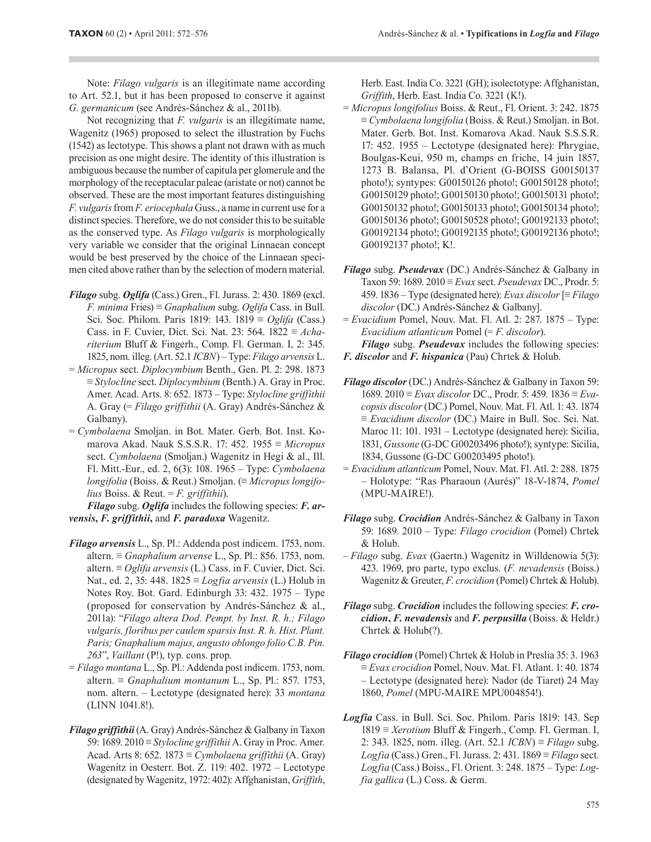Note: Filago vulgaris is an illegitimate name according to Art. 52.1, but it has been proposed to conserve it against G. germanicum (see Andrés-Sánchez & al., 2011b).

Not recognizing that  $F$ , *vulgaris* is an illegitimate name, Wagenitz (1965) proposed to select the illustration by Fuchs (1542) as lectotype. This shows a plant not drawn with as much precision as one might desire. The identity of this illustration is ambiguous because the number of capitula per glomerule and the morphology of the receptacular paleae (aristate or not) cannot be observed. These are the most important features distinguishing F. vulgaris from F. eriocephala Guss., a name in current use for a distinct species. Therefore, we do not consider this to be suitable as the conserved type. As *Filago vulgaris* is morphologically very variable we consider that the original Linnaean concept would be best preserved by the choice of the Linnaean specimen cited above rather than by the selection of modern material.

- Filago subg. Oglifa (Cass.) Gren., Fl. Jurass. 2: 430. 1869 (excl. *F. minima* Fries)  $\equiv$  *Gnaphalium* subg. *Oglifa* Cass. in Bull. Sci. Soc. Philom. Paris 1819: 143. 1819  $\equiv$  *Oglifa* (Cass.) Cass. in F. Cuvier, Dict. Sci. Nat. 23: 564.  $1822 \equiv Acha$ riterium Bluff & Fingerh., Comp. Fl. German. I, 2: 345. 1825, nom. illeg. (Art. 52.1 ICBN) - Type: Filago arvensis L.
- = Micropus sect. Diplocymbium Benth., Gen. Pl. 2: 298. 1873  $\equiv$  Stylocline sect. Diplocymbium (Benth.) A. Gray in Proc. Amer. Acad. Arts. 8: 652. 1873 - Type: Stylocline griffithii A. Gray (= Filago griffithii (A. Gray) Andrés-Sánchez & Galbany).
- = Cymbolaena Smoljan. in Bot. Mater. Gerb. Bot. Inst. Komarova Akad. Nauk S.S.S.R. 17: 452. 1955  $\equiv$  *Micropus* sect. Cymbolaena (Smoljan.) Wagenitz in Hegi & al., Ill. Fl. Mitt.-Eur., ed. 2, 6(3): 108. 1965 - Type: Cymbolaena longifolia (Boiss. & Reut.) Smoljan.  $(\equiv$  Micropus longifolius Boiss. & Reut. = F. griffithii).

**Filago** subg. Oglifa includes the following species: **F.** arvensis, F. griffithii, and F. paradoxa Wagenitz.

- Filago arvensis L., Sp. Pl.: Addenda post indicem. 1753, nom. altern.  $\equiv$  *Gnaphalium arvense* L., Sp. Pl.: 856. 1753, nom. altern.  $\equiv$  *Oglifa arvensis* (L.) Cass. in F. Cuvier, Dict. Sci. Nat., ed. 2, 35: 448.  $1825 \equiv$  *Logfia arvensis* (L.) Holub in Notes Roy. Bot. Gard. Edinburgh 33: 432. 1975 - Type (proposed for conservation by Andrés-Sánchez & al., 2011a): "Filago altera Dod. Pempt. by Inst. R. h.; Filago vulgaris, floribus per caulem sparsis Inst. R. h. Hist. Plant. Paris; Gnaphalium majus, angusto oblongo folio C.B. Pin. 263", Vaillant (P!), typ. cons. prop.
- $=$  Filago montana L., Sp. Pl.: Addenda post indicem. 1753, nom. altern.  $\equiv$  Gnaphalium montanum L., Sp. Pl.: 857. 1753, nom. altern. - Lectotype (designated here): 33 montana (LINN 1041.8!).
- Filago griffithii (A. Gray) Andrés-Sánchez & Galbany in Taxon 59: 1689. 2010 = Stylocline griffithii A. Gray in Proc. Amer. Acad. Arts 8: 652. 1873  $\equiv$  Cymbolaena griffithii (A. Gray) Wagenitz in Oesterr. Bot. Z. 119: 402. 1972 - Lectotype (designated by Wagenitz, 1972: 402): Affghanistan, Griffith,

Herb. East. India Co. 3221 (GH); isolectotype: Affghanistan, Griffith, Herb. East. India Co. 3221 (K!).

- = Micropus longifolius Boiss. & Reut., Fl. Orient. 3: 242. 1875  $\equiv$  Cymbolaena longifolia (Boiss. & Reut.) Smoljan. in Bot. Mater. Gerb. Bot. Inst. Komarova Akad. Nauk S.S.S.R. 17: 452. 1955 – Lectotype (designated here): Phrygiae, Boulgas-Keui, 950 m, champs en friche, 14 juin 1857, 1273 B. Balansa, Pl. d'Orient (G-BOISS G00150137 photo!); syntypes: G00150126 photo!; G00150128 photo!; G00150129 photo!; G00150130 photo!; G00150131 photo!; G00150132 photo!; G00150133 photo!; G00150134 photo!; G00150136 photo!; G00150528 photo!; G00192133 photo!; G00192134 photol; G00192135 photol; G00192136 photol; G00192137 photo!; K!.
- Filago subg. Pseudevax (DC.) Andrés-Sánchez & Galbany in Taxon 59: 1689.  $2010 \equiv Evax$  sect. *Pseudevax* DC., Prodr. 5: 459. 1836 – Type (designated here): Evax discolor [≡ Filago discolor (DC.) Andrés-Sánchez & Galbany].

 $=$  Evacidium Pomel, Nouv. Mat. Fl. Atl. 2: 287. 1875 – Type: Evacidium atlanticum Pomel  $(=F.$  discolor). **Filago** subg. *Pseudevax* includes the following species:

F. discolor and F. hispanica (Pau) Chrtek & Holub.

- Filago discolor (DC.) Andrés-Sánchez & Galbany in Taxon 59: 1689. 2010  $\equiv Evax$  discolor DC., Prodr. 5: 459. 1836  $\equiv Eva$ copsis discolor (DC.) Pomel, Nouv. Mat. Fl. Atl. 1: 43. 1874  $\equiv$  *Evacidium discolor* (DC.) Maire in Bull. Soc. Sci. Nat. Maroc 11: 101. 1931 – Lectotype (designated here): Sicilia, 1831, Gussone (G-DC G00203496 photo!); syntype: Sicilia, 1834, Gussone (G-DC G00203495 photo!).
- = Evacidium atlanticum Pomel, Nouv. Mat. Fl. Atl. 2: 288. 1875 - Holotype: "Ras Pharaoun (Aurés)" 18-V-1874, Pomel (MPU-MAIRE!).
- Filago subg. Crocidion Andrés-Sánchez & Galbany in Taxon 59: 1689. 2010 – Type: Filago crocidion (Pomel) Chrtek & Holub.
- Filago subg. Evax (Gaertn.) Wagenitz in Willdenowia 5(3): 423. 1969, pro parte, typo exclus. (F. nevadensis (Boiss.) Wagenitz & Greuter, F. crocidion (Pomel) Chrtek & Holub).
- **Filago** subg. *Crocidion* includes the following species: **F. cro**cidion, F. nevadensis and F. perpusilla (Boiss. & Heldr.) Chrtek & Holub(?).
- Filago crocidion (Pomel) Chrtek & Holub in Preslia 35: 3. 1963  $\equiv E$ vax crocidion Pomel, Nouv. Mat. Fl. Atlant. 1: 40. 1874 - Lectotype (designated here): Nador (de Tiaret) 24 May 1860, Pomel (MPU-MAIRE MPU004854!).
- Logfia Cass. in Bull. Sci. Soc. Philom. Paris 1819: 143. Sep  $1819 \equiv Xerotium Bluff & Fingerh., Comp. Fl. German. I,$ 2: 343. 1825, nom. illeg. (Art. 52.1  $ICBN$ ) = Filago subg. Logfia (Cass.) Gren., Fl. Jurass. 2: 431. 1869 = Filago sect. Logfia (Cass.) Boiss., Fl. Orient. 3: 248. 1875 – Type: Logfia gallica (L.) Coss. & Germ.